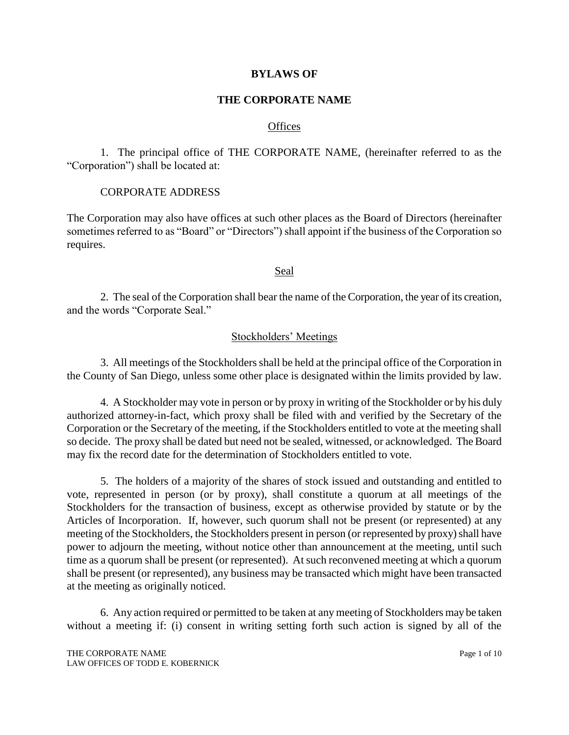### **BYLAWS OF**

### **THE CORPORATE NAME**

#### **Offices**

1. The principal office of THE CORPORATE NAME, (hereinafter referred to as the "Corporation") shall be located at:

### CORPORATE ADDRESS

The Corporation may also have offices at such other places as the Board of Directors (hereinafter sometimes referred to as "Board" or "Directors") shall appoint if the business of the Corporation so requires.

#### Seal

2. The seal of the Corporation shall bear the name of the Corporation, the year of its creation, and the words "Corporate Seal."

### Stockholders' Meetings

3. All meetings of the Stockholders shall be held at the principal office of the Corporation in the County of San Diego, unless some other place is designated within the limits provided by law.

4. A Stockholder may vote in person or by proxy in writing of the Stockholder or by his duly authorized attorney-in-fact, which proxy shall be filed with and verified by the Secretary of the Corporation or the Secretary of the meeting, if the Stockholders entitled to vote at the meeting shall so decide. The proxy shall be dated but need not be sealed, witnessed, or acknowledged. The Board may fix the record date for the determination of Stockholders entitled to vote.

5. The holders of a majority of the shares of stock issued and outstanding and entitled to vote, represented in person (or by proxy), shall constitute a quorum at all meetings of the Stockholders for the transaction of business, except as otherwise provided by statute or by the Articles of Incorporation. If, however, such quorum shall not be present (or represented) at any meeting of the Stockholders, the Stockholders present in person (or represented by proxy) shall have power to adjourn the meeting, without notice other than announcement at the meeting, until such time as a quorum shall be present (or represented). At such reconvened meeting at which a quorum shall be present (or represented), any business may be transacted which might have been transacted at the meeting as originally noticed.

6. Any action required or permitted to be taken at any meeting of Stockholders may be taken without a meeting if: (i) consent in writing setting forth such action is signed by all of the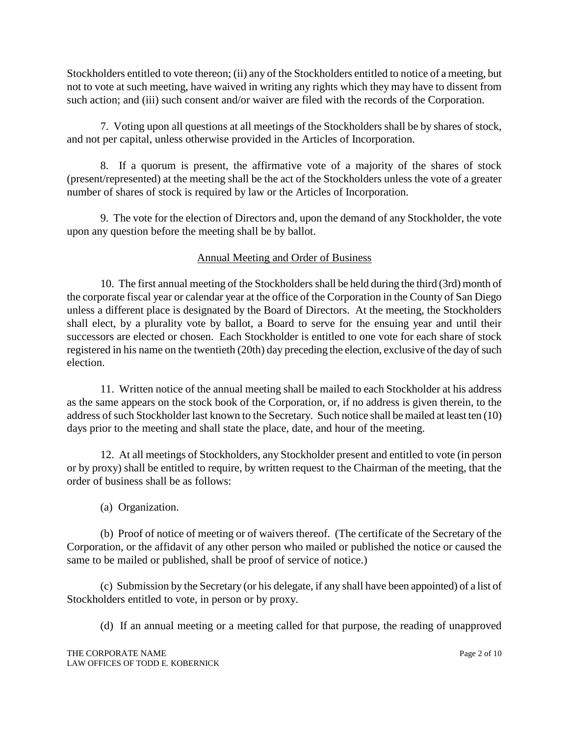Stockholders entitled to vote thereon; (ii) any of the Stockholders entitled to notice of a meeting, but not to vote at such meeting, have waived in writing any rights which they may have to dissent from such action; and (iii) such consent and/or waiver are filed with the records of the Corporation.

7. Voting upon all questions at all meetings of the Stockholders shall be by shares of stock, and not per capital, unless otherwise provided in the Articles of Incorporation.

8. If a quorum is present, the affirmative vote of a majority of the shares of stock (present/represented) at the meeting shall be the act of the Stockholders unless the vote of a greater number of shares of stock is required by law or the Articles of Incorporation.

9. The vote for the election of Directors and, upon the demand of any Stockholder, the vote upon any question before the meeting shall be by ballot.

# Annual Meeting and Order of Business

10. The first annual meeting of the Stockholders shall be held during the third (3rd) month of the corporate fiscal year or calendar year at the office of the Corporation in the County of San Diego unless a different place is designated by the Board of Directors. At the meeting, the Stockholders shall elect, by a plurality vote by ballot, a Board to serve for the ensuing year and until their successors are elected or chosen. Each Stockholder is entitled to one vote for each share of stock registered in his name on the twentieth (20th) day preceding the election, exclusive of the day of such election.

11. Written notice of the annual meeting shall be mailed to each Stockholder at his address as the same appears on the stock book of the Corporation, or, if no address is given therein, to the address of such Stockholder last known to the Secretary. Such notice shall be mailed at least ten (10) days prior to the meeting and shall state the place, date, and hour of the meeting.

12. At all meetings of Stockholders, any Stockholder present and entitled to vote (in person or by proxy) shall be entitled to require, by written request to the Chairman of the meeting, that the order of business shall be as follows:

(a) Organization.

(b) Proof of notice of meeting or of waivers thereof. (The certificate of the Secretary of the Corporation, or the affidavit of any other person who mailed or published the notice or caused the same to be mailed or published, shall be proof of service of notice.)

(c) Submission by the Secretary (or his delegate, if any shall have been appointed) of a list of Stockholders entitled to vote, in person or by proxy.

(d) If an annual meeting or a meeting called for that purpose, the reading of unapproved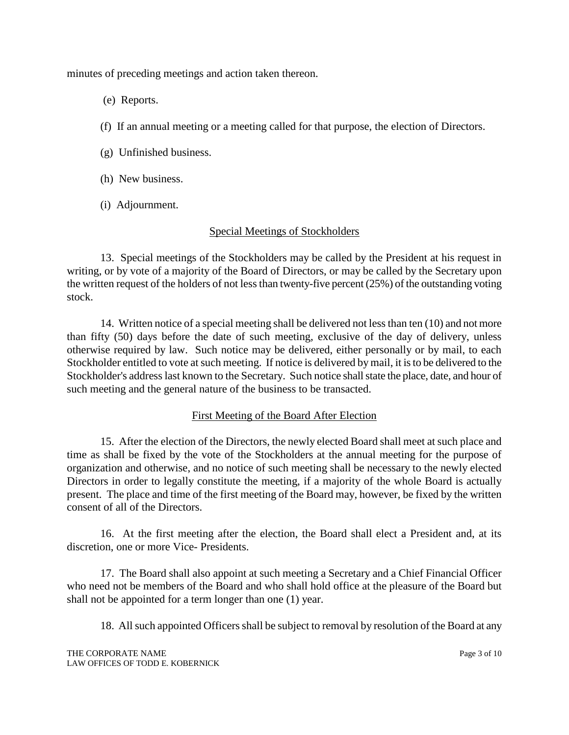minutes of preceding meetings and action taken thereon.

- (e) Reports.
- (f) If an annual meeting or a meeting called for that purpose, the election of Directors.
- (g) Unfinished business.
- (h) New business.
- (i) Adjournment.

# Special Meetings of Stockholders

13. Special meetings of the Stockholders may be called by the President at his request in writing, or by vote of a majority of the Board of Directors, or may be called by the Secretary upon the written request of the holders of not less than twenty-five percent (25%) of the outstanding voting stock.

14. Written notice of a special meeting shall be delivered not less than ten (10) and not more than fifty (50) days before the date of such meeting, exclusive of the day of delivery, unless otherwise required by law. Such notice may be delivered, either personally or by mail, to each Stockholder entitled to vote at such meeting. If notice is delivered by mail, it is to be delivered to the Stockholder's address last known to the Secretary. Such notice shall state the place, date, and hour of such meeting and the general nature of the business to be transacted.

# First Meeting of the Board After Election

15. After the election of the Directors, the newly elected Board shall meet at such place and time as shall be fixed by the vote of the Stockholders at the annual meeting for the purpose of organization and otherwise, and no notice of such meeting shall be necessary to the newly elected Directors in order to legally constitute the meeting, if a majority of the whole Board is actually present. The place and time of the first meeting of the Board may, however, be fixed by the written consent of all of the Directors.

16. At the first meeting after the election, the Board shall elect a President and, at its discretion, one or more Vice- Presidents.

17. The Board shall also appoint at such meeting a Secretary and a Chief Financial Officer who need not be members of the Board and who shall hold office at the pleasure of the Board but shall not be appointed for a term longer than one (1) year.

18. All such appointed Officers shall be subject to removal by resolution of the Board at any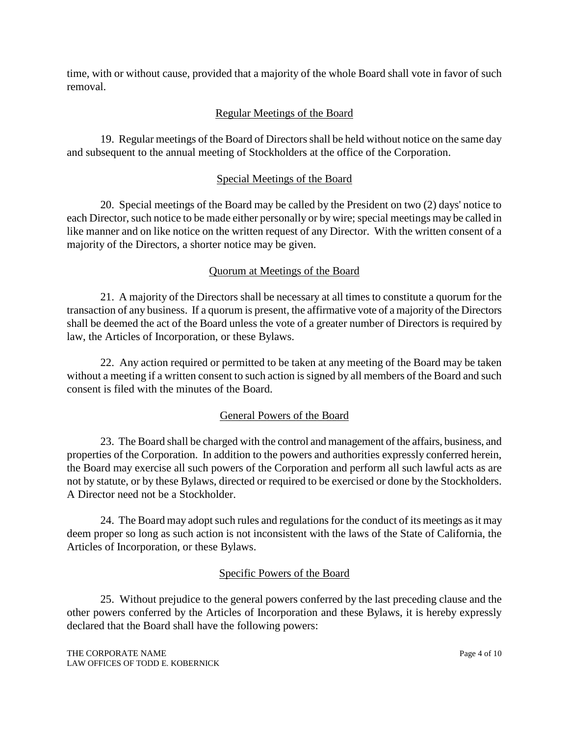time, with or without cause, provided that a majority of the whole Board shall vote in favor of such removal.

# Regular Meetings of the Board

19. Regular meetings of the Board of Directors shall be held without notice on the same day and subsequent to the annual meeting of Stockholders at the office of the Corporation.

# Special Meetings of the Board

20. Special meetings of the Board may be called by the President on two (2) days' notice to each Director, such notice to be made either personally or by wire; special meetings may be called in like manner and on like notice on the written request of any Director. With the written consent of a majority of the Directors, a shorter notice may be given.

# Quorum at Meetings of the Board

21. A majority of the Directors shall be necessary at all times to constitute a quorum for the transaction of any business. If a quorum is present, the affirmative vote of a majority of the Directors shall be deemed the act of the Board unless the vote of a greater number of Directors is required by law, the Articles of Incorporation, or these Bylaws.

22. Any action required or permitted to be taken at any meeting of the Board may be taken without a meeting if a written consent to such action is signed by all members of the Board and such consent is filed with the minutes of the Board.

# General Powers of the Board

23. The Board shall be charged with the control and management of the affairs, business, and properties of the Corporation. In addition to the powers and authorities expressly conferred herein, the Board may exercise all such powers of the Corporation and perform all such lawful acts as are not by statute, or by these Bylaws, directed or required to be exercised or done by the Stockholders. A Director need not be a Stockholder.

24. The Board may adopt such rules and regulations for the conduct of its meetings as it may deem proper so long as such action is not inconsistent with the laws of the State of California, the Articles of Incorporation, or these Bylaws.

# Specific Powers of the Board

25. Without prejudice to the general powers conferred by the last preceding clause and the other powers conferred by the Articles of Incorporation and these Bylaws, it is hereby expressly declared that the Board shall have the following powers: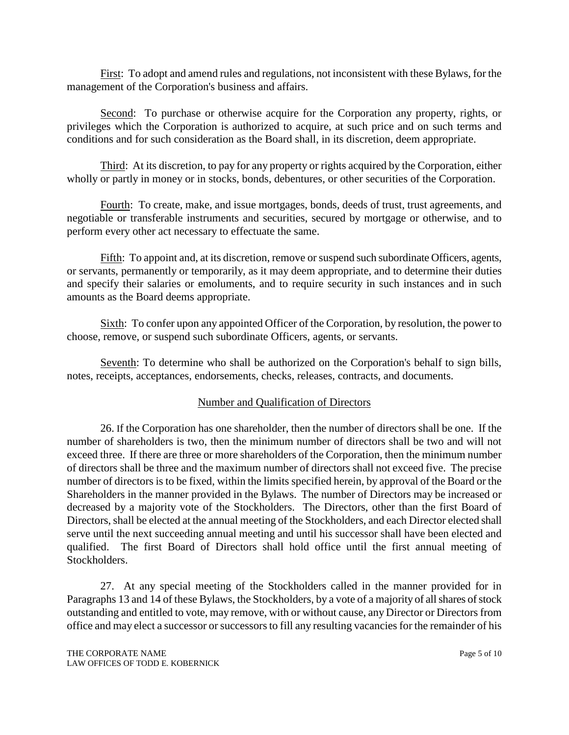First: To adopt and amend rules and regulations, not inconsistent with these Bylaws, for the management of the Corporation's business and affairs.

Second: To purchase or otherwise acquire for the Corporation any property, rights, or privileges which the Corporation is authorized to acquire, at such price and on such terms and conditions and for such consideration as the Board shall, in its discretion, deem appropriate.

Third: At its discretion, to pay for any property or rights acquired by the Corporation, either wholly or partly in money or in stocks, bonds, debentures, or other securities of the Corporation.

Fourth: To create, make, and issue mortgages, bonds, deeds of trust, trust agreements, and negotiable or transferable instruments and securities, secured by mortgage or otherwise, and to perform every other act necessary to effectuate the same.

Fifth: To appoint and, at its discretion, remove or suspend such subordinate Officers, agents, or servants, permanently or temporarily, as it may deem appropriate, and to determine their duties and specify their salaries or emoluments, and to require security in such instances and in such amounts as the Board deems appropriate.

Sixth: To confer upon any appointed Officer of the Corporation, by resolution, the power to choose, remove, or suspend such subordinate Officers, agents, or servants.

Seventh: To determine who shall be authorized on the Corporation's behalf to sign bills, notes, receipts, acceptances, endorsements, checks, releases, contracts, and documents.

### Number and Qualification of Directors

26. If the Corporation has one shareholder, then the number of directors shall be one. If the number of shareholders is two, then the minimum number of directors shall be two and will not exceed three. If there are three or more shareholders of the Corporation, then the minimum number of directors shall be three and the maximum number of directors shall not exceed five. The precise number of directors is to be fixed, within the limits specified herein, by approval of the Board or the Shareholders in the manner provided in the Bylaws. The number of Directors may be increased or decreased by a majority vote of the Stockholders. The Directors, other than the first Board of Directors, shall be elected at the annual meeting of the Stockholders, and each Director elected shall serve until the next succeeding annual meeting and until his successor shall have been elected and qualified. The first Board of Directors shall hold office until the first annual meeting of Stockholders.

27. At any special meeting of the Stockholders called in the manner provided for in Paragraphs 13 and 14 of these Bylaws, the Stockholders, by a vote of a majority of all shares of stock outstanding and entitled to vote, may remove, with or without cause, any Director or Directors from office and may elect a successor or successors to fill any resulting vacancies for the remainder of his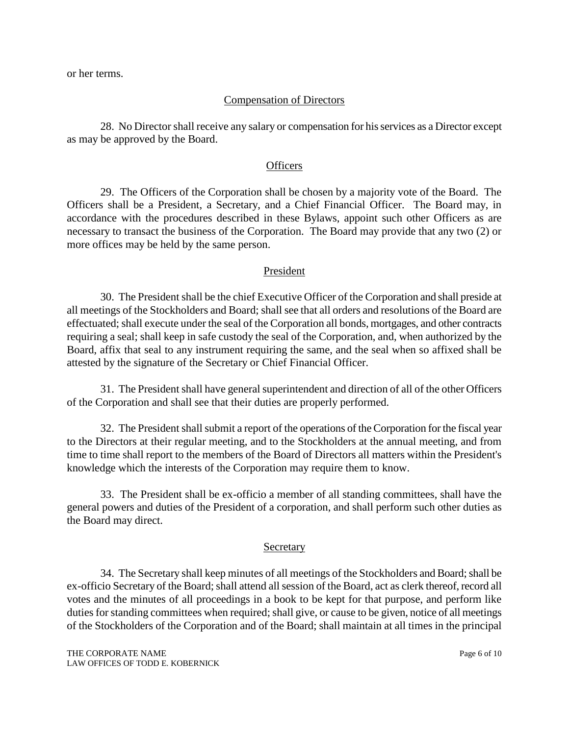or her terms.

#### Compensation of Directors

28. No Director shall receive any salary or compensation for his services as a Director except as may be approved by the Board.

#### **Officers**

29. The Officers of the Corporation shall be chosen by a majority vote of the Board. The Officers shall be a President, a Secretary, and a Chief Financial Officer. The Board may, in accordance with the procedures described in these Bylaws, appoint such other Officers as are necessary to transact the business of the Corporation. The Board may provide that any two (2) or more offices may be held by the same person.

### President

30. The President shall be the chief Executive Officer of the Corporation and shall preside at all meetings of the Stockholders and Board; shall see that all orders and resolutions of the Board are effectuated; shall execute under the seal of the Corporation all bonds, mortgages, and other contracts requiring a seal; shall keep in safe custody the seal of the Corporation, and, when authorized by the Board, affix that seal to any instrument requiring the same, and the seal when so affixed shall be attested by the signature of the Secretary or Chief Financial Officer.

31. The President shall have general superintendent and direction of all of the other Officers of the Corporation and shall see that their duties are properly performed.

32. The President shall submit a report of the operations of the Corporation for the fiscal year to the Directors at their regular meeting, and to the Stockholders at the annual meeting, and from time to time shall report to the members of the Board of Directors all matters within the President's knowledge which the interests of the Corporation may require them to know.

33. The President shall be ex-officio a member of all standing committees, shall have the general powers and duties of the President of a corporation, and shall perform such other duties as the Board may direct.

#### Secretary

34. The Secretary shall keep minutes of all meetings of the Stockholders and Board; shall be ex-officio Secretary of the Board; shall attend all session of the Board, act as clerk thereof, record all votes and the minutes of all proceedings in a book to be kept for that purpose, and perform like duties for standing committees when required; shall give, or cause to be given, notice of all meetings of the Stockholders of the Corporation and of the Board; shall maintain at all times in the principal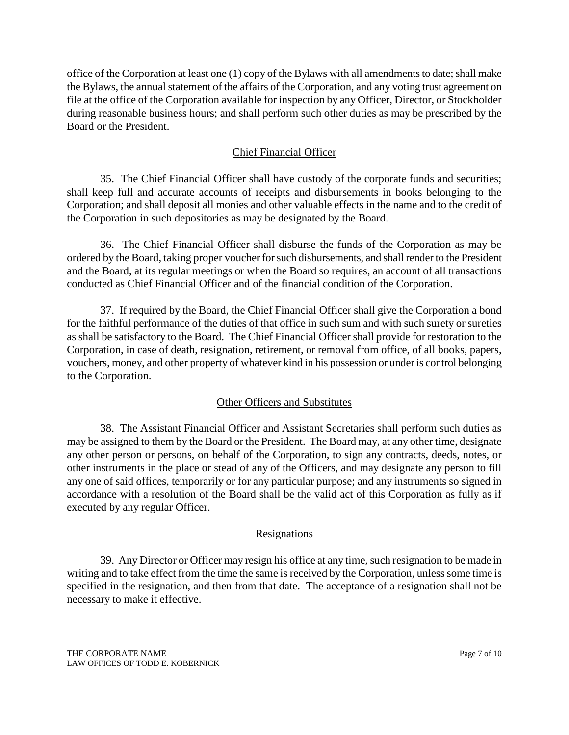office of the Corporation at least one (1) copy of the Bylaws with all amendments to date; shall make the Bylaws, the annual statement of the affairs of the Corporation, and any voting trust agreement on file at the office of the Corporation available for inspection by any Officer, Director, or Stockholder during reasonable business hours; and shall perform such other duties as may be prescribed by the Board or the President.

## Chief Financial Officer

35. The Chief Financial Officer shall have custody of the corporate funds and securities; shall keep full and accurate accounts of receipts and disbursements in books belonging to the Corporation; and shall deposit all monies and other valuable effects in the name and to the credit of the Corporation in such depositories as may be designated by the Board.

36. The Chief Financial Officer shall disburse the funds of the Corporation as may be ordered by the Board, taking proper voucher for such disbursements, and shall render to the President and the Board, at its regular meetings or when the Board so requires, an account of all transactions conducted as Chief Financial Officer and of the financial condition of the Corporation.

37. If required by the Board, the Chief Financial Officer shall give the Corporation a bond for the faithful performance of the duties of that office in such sum and with such surety or sureties as shall be satisfactory to the Board. The Chief Financial Officer shall provide for restoration to the Corporation, in case of death, resignation, retirement, or removal from office, of all books, papers, vouchers, money, and other property of whatever kind in his possession or under is control belonging to the Corporation.

### Other Officers and Substitutes

38. The Assistant Financial Officer and Assistant Secretaries shall perform such duties as may be assigned to them by the Board or the President. The Board may, at any other time, designate any other person or persons, on behalf of the Corporation, to sign any contracts, deeds, notes, or other instruments in the place or stead of any of the Officers, and may designate any person to fill any one of said offices, temporarily or for any particular purpose; and any instruments so signed in accordance with a resolution of the Board shall be the valid act of this Corporation as fully as if executed by any regular Officer.

# Resignations

39. Any Director or Officer may resign his office at any time, such resignation to be made in writing and to take effect from the time the same is received by the Corporation, unless some time is specified in the resignation, and then from that date. The acceptance of a resignation shall not be necessary to make it effective.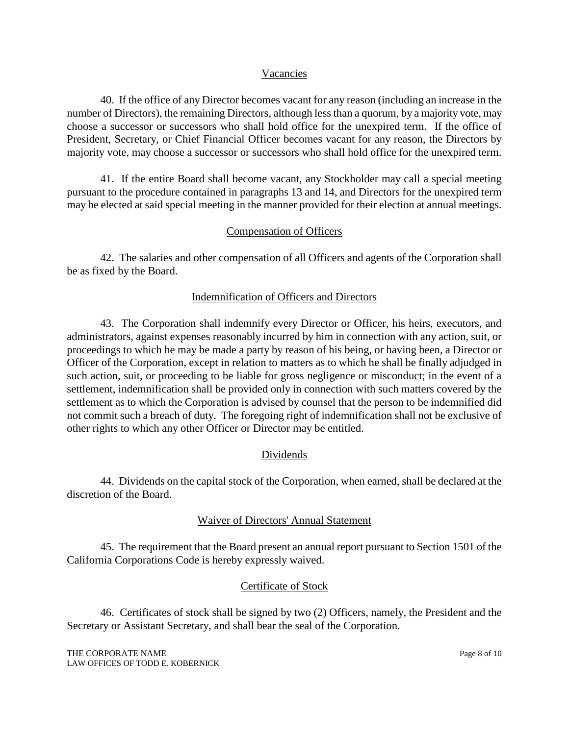### Vacancies

40. If the office of any Director becomes vacant for any reason (including an increase in the number of Directors), the remaining Directors, although less than a quorum, by a majority vote, may choose a successor or successors who shall hold office for the unexpired term. If the office of President, Secretary, or Chief Financial Officer becomes vacant for any reason, the Directors by majority vote, may choose a successor or successors who shall hold office for the unexpired term.

41. If the entire Board shall become vacant, any Stockholder may call a special meeting pursuant to the procedure contained in paragraphs 13 and 14, and Directors for the unexpired term may be elected at said special meeting in the manner provided for their election at annual meetings.

## Compensation of Officers

42. The salaries and other compensation of all Officers and agents of the Corporation shall be as fixed by the Board.

### Indemnification of Officers and Directors

43. The Corporation shall indemnify every Director or Officer, his heirs, executors, and administrators, against expenses reasonably incurred by him in connection with any action, suit, or proceedings to which he may be made a party by reason of his being, or having been, a Director or Officer of the Corporation, except in relation to matters as to which he shall be finally adjudged in such action, suit, or proceeding to be liable for gross negligence or misconduct; in the event of a settlement, indemnification shall be provided only in connection with such matters covered by the settlement as to which the Corporation is advised by counsel that the person to be indemnified did not commit such a breach of duty. The foregoing right of indemnification shall not be exclusive of other rights to which any other Officer or Director may be entitled.

# Dividends

44. Dividends on the capital stock of the Corporation, when earned, shall be declared at the discretion of the Board.

## Waiver of Directors' Annual Statement

45. The requirement that the Board present an annual report pursuant to Section 1501 of the California Corporations Code is hereby expressly waived.

### Certificate of Stock

46. Certificates of stock shall be signed by two (2) Officers, namely, the President and the Secretary or Assistant Secretary, and shall bear the seal of the Corporation.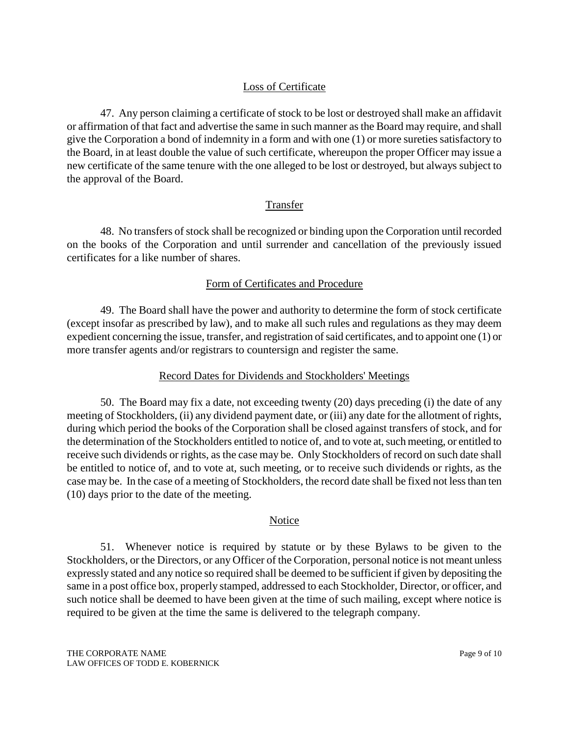# Loss of Certificate

47. Any person claiming a certificate of stock to be lost or destroyed shall make an affidavit or affirmation of that fact and advertise the same in such manner as the Board may require, and shall give the Corporation a bond of indemnity in a form and with one (1) or more sureties satisfactory to the Board, in at least double the value of such certificate, whereupon the proper Officer may issue a new certificate of the same tenure with the one alleged to be lost or destroyed, but always subject to the approval of the Board.

## Transfer

48. No transfers of stock shall be recognized or binding upon the Corporation until recorded on the books of the Corporation and until surrender and cancellation of the previously issued certificates for a like number of shares.

## Form of Certificates and Procedure

49. The Board shall have the power and authority to determine the form of stock certificate (except insofar as prescribed by law), and to make all such rules and regulations as they may deem expedient concerning the issue, transfer, and registration of said certificates, and to appoint one (1) or more transfer agents and/or registrars to countersign and register the same.

# Record Dates for Dividends and Stockholders' Meetings

50. The Board may fix a date, not exceeding twenty (20) days preceding (i) the date of any meeting of Stockholders, (ii) any dividend payment date, or (iii) any date for the allotment of rights, during which period the books of the Corporation shall be closed against transfers of stock, and for the determination of the Stockholders entitled to notice of, and to vote at, such meeting, or entitled to receive such dividends or rights, as the case may be. Only Stockholders of record on such date shall be entitled to notice of, and to vote at, such meeting, or to receive such dividends or rights, as the case may be. In the case of a meeting of Stockholders, the record date shall be fixed not less than ten (10) days prior to the date of the meeting.

### Notice

51. Whenever notice is required by statute or by these Bylaws to be given to the Stockholders, or the Directors, or any Officer of the Corporation, personal notice is not meant unless expressly stated and any notice so required shall be deemed to be sufficient if given by depositing the same in a post office box, properly stamped, addressed to each Stockholder, Director, or officer, and such notice shall be deemed to have been given at the time of such mailing, except where notice is required to be given at the time the same is delivered to the telegraph company.